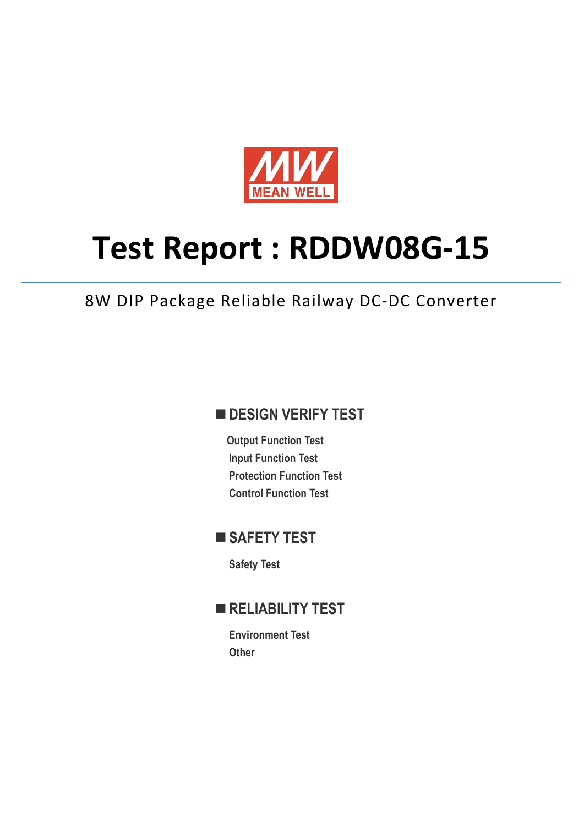

# **Test Report : RDDW08G-15**

8W DIP Package Reliable Railway DC-DC Converter

## **DESIGN VERIFY TEST**

**Output Function Test Input Function Test Protection Function Test Control Function Test** 

## ■ SAFETY TEST

**Safety Test** 

## **RELIABILITY TEST**

**Environment Test Other**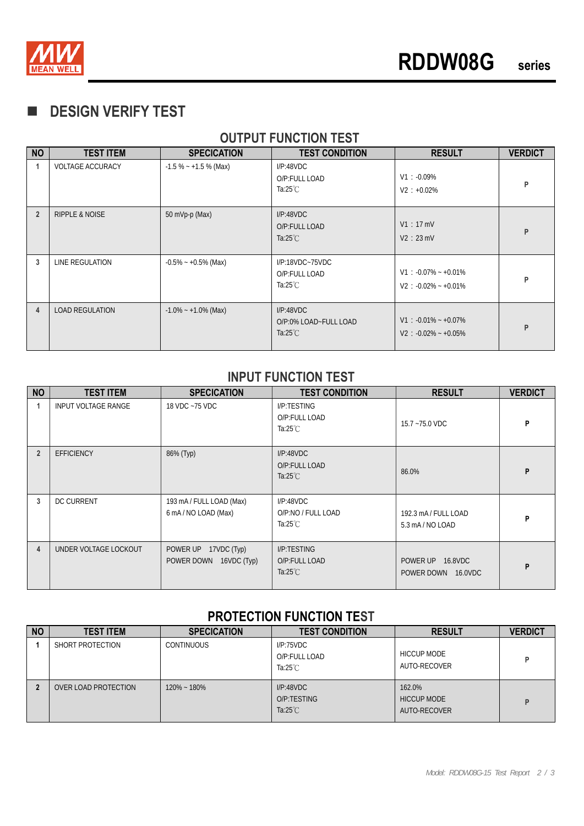

## **DESIGN VERIFY TEST**

### **OUTPUT FUNCTION TEST**

| <b>NO</b>      | <b>TEST ITEM</b>          | <b>SPECICATION</b>      | <b>TEST CONDITION</b>                                    | <b>RESULT</b>                                        | <b>VERDICT</b> |
|----------------|---------------------------|-------------------------|----------------------------------------------------------|------------------------------------------------------|----------------|
| 1              | <b>VOLTAGE ACCURACY</b>   | $-1.5\% - +1.5\%$ (Max) | I/P:48VDC<br>O/P:FULL LOAD<br>Ta:25 $°C$                 | $V1: -0.09\%$<br>$V2 : +0.02\%$                      | P              |
| $\overline{2}$ | <b>RIPPLE &amp; NOISE</b> | 50 mVp-p (Max)          | I/P:48VDC<br>O/P:FULL LOAD<br>Ta: $25^{\circ}$ C         | V1:17mV<br>V2:23mV                                   | P              |
| 3              | LINE REGULATION           | $-0.5\% - +0.5\%$ (Max) | $I/P:18VDC-75VDC$<br>O/P:FULL LOAD<br>Ta:25 $°C$         | $V1: -0.07\% - +0.01\%$<br>$V2: -0.02\% - +0.01\%$   | P              |
| 4              | <b>LOAD REGULATION</b>    | $-1.0\% - +1.0\%$ (Max) | I/P:48VDC<br>O/P:0% LOAD~FULL LOAD<br>Ta: $25^{\circ}$ C | $V1$ : -0.01% ~ +0.07%<br>$V2$ : $-0.02\% - +0.05\%$ | P              |

#### **INPUT FUNCTION TEST**

| <b>NO</b>      | <b>TEST ITEM</b>      | <b>SPECICATION</b>                                | <b>TEST CONDITION</b>                              | <b>RESULT</b>                          | <b>VERDICT</b> |
|----------------|-----------------------|---------------------------------------------------|----------------------------------------------------|----------------------------------------|----------------|
|                | INPUT VOLTAGE RANGE   | 18 VDC ~75 VDC                                    | I/P:TESTING<br>O/P:FULL LOAD<br>Ta:25 $°C$         | 15.7~75.0 VDC                          | P              |
| $\overline{2}$ | <b>EFFICIENCY</b>     | 86% (Typ)                                         | I/P:48VDC<br>O/P:FULL LOAD<br>Ta: $25^{\circ}$ C   | 86.0%                                  | P              |
| 3              | <b>DC CURRENT</b>     | 193 mA / FULL LOAD (Max)<br>6 mA/NO LOAD (Max)    | I/P:48VDC<br>O/P:NO / FULL LOAD<br>Ta:25 $°C$      | 192.3 mA / FULL LOAD<br>5.3 mA/NO LOAD | P              |
| 4              | UNDER VOLTAGE LOCKOUT | POWER UP<br>17VDC (Typ)<br>POWER DOWN 16VDC (Typ) | I/P:TESTING<br>O/P:FULL LOAD<br>Ta: $25^{\circ}$ C | POWER UP 16.8VDC<br>POWER DOWN 16.0VDC | P              |

#### **PROTECTION FUNCTION TEST**

| <b>NO</b> | <b>TEST ITEM</b>     | <b>SPECICATION</b> | <b>TEST CONDITION</b>                            | <b>RESULT</b>                                | <b>VERDICT</b> |
|-----------|----------------------|--------------------|--------------------------------------------------|----------------------------------------------|----------------|
|           | SHORT PROTECTION     | <b>CONTINUOUS</b>  | I/P:75VDC<br>O/P:FULL LOAD<br>Ta: $25^{\circ}$ C | <b>HICCUP MODE</b><br>AUTO-RECOVER           |                |
|           | OVER LOAD PROTECTION | $120\% - 180\%$    | I/P:48VDC<br>O/P:TESTING<br>Ta: $25^{\circ}$ C   | 162.0%<br><b>HICCUP MODE</b><br>AUTO-RECOVER |                |